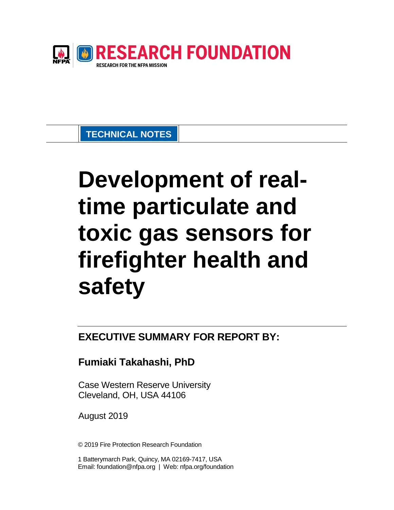

**TECHNICAL NOTES**

# **Development of realtime particulate and toxic gas sensors for firefighter health and safety**

# **EXECUTIVE SUMMARY FOR REPORT BY:**

# **Fumiaki Takahashi, PhD**

Case Western Reserve University Cleveland, OH, USA 44106

August 2019

© 2019 Fire Protection Research Foundation

 1 Batterymarch Park, Quincy, MA 02169-7417, USA Email: foundation@nfpa.org | Web: nfpa.org/foundation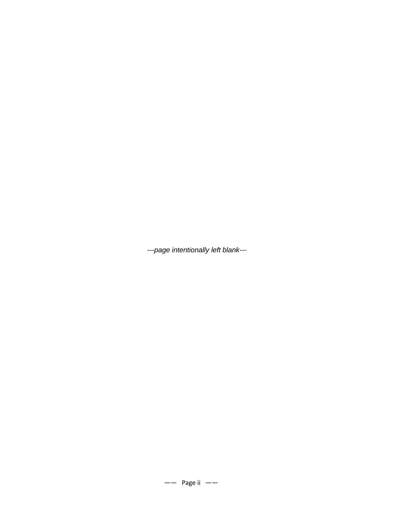---page intentionally left blank---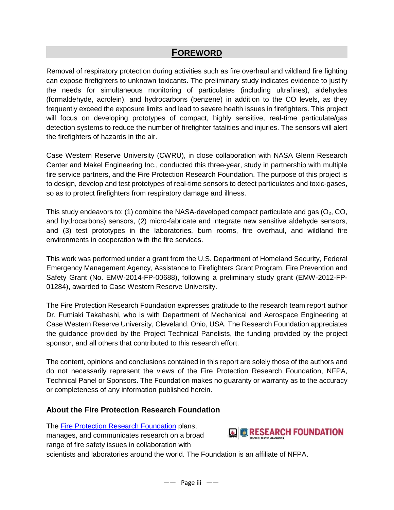# **FOREWORD**

Removal of respiratory protection during activities such as fire overhaul and wildland fire fighting can expose firefighters to unknown toxicants. The preliminary study indicates evidence to justify the needs for simultaneous monitoring of particulates (including ultrafines), aldehydes (formaldehyde, acrolein), and hydrocarbons (benzene) in addition to the CO levels, as they frequently exceed the exposure limits and lead to severe health issues in firefighters. This project will focus on developing prototypes of compact, highly sensitive, real-time particulate/gas detection systems to reduce the number of firefighter fatalities and injuries. The sensors will alert the firefighters of hazards in the air.

Case Western Reserve University (CWRU), in close collaboration with NASA Glenn Research Center and Makel Engineering Inc., conducted this three-year, study in partnership with multiple fire service partners, and the Fire Protection Research Foundation. The purpose of this project is to design, develop and test prototypes of real-time sensors to detect particulates and toxic-gases, so as to protect firefighters from respiratory damage and illness.

This study endeavors to: (1) combine the NASA-developed compact particulate and gas  $(O_2, CO,$ and hydrocarbons) sensors, (2) micro-fabricate and integrate new sensitive aldehyde sensors, and (3) test prototypes in the laboratories, burn rooms, fire overhaul, and wildland fire environments in cooperation with the fire services.

This work was performed under a grant from the U.S. Department of Homeland Security, Federal Emergency Management Agency, Assistance to Firefighters Grant Program, Fire Prevention and Safety Grant (No. EMW-2014-FP-00688), following a preliminary study grant (EMW-2012-FP-01284), awarded to Case Western Reserve University.

The Fire Protection Research Foundation expresses gratitude to the research team report author Dr. Fumiaki Takahashi, who is with Department of Mechanical and Aerospace Engineering at Case Western Reserve University, Cleveland, Ohio, USA. The Research Foundation appreciates the guidance provided by the Project Technical Panelists, the funding provided by the project sponsor, and all others that contributed to this research effort.

The content, opinions and conclusions contained in this report are solely those of the authors and do not necessarily represent the views of the Fire Protection Research Foundation, NFPA, Technical Panel or Sponsors. The Foundation makes no guaranty or warranty as to the accuracy or completeness of any information published herein.

#### **About the Fire Protection Research Foundation**

The [Fire Protection Research Foundation](http://www.nfpa.org/foundation) plans, manages, and communicates research on a broad range of fire safety issues in collaboration with



scientists and laboratories around the world. The Foundation is an affiliate of NFPA.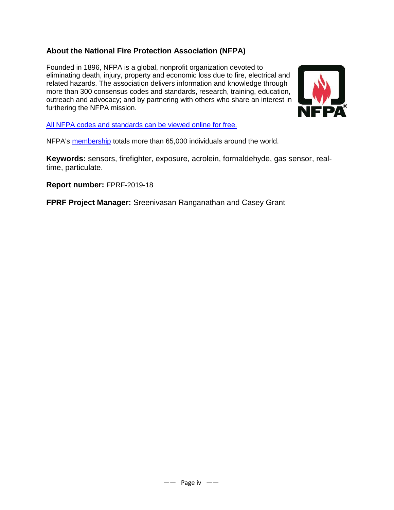## **About the National Fire Protection Association (NFPA)**

Founded in 1896, NFPA is a global, nonprofit organization devoted to eliminating death, injury, property and economic loss due to fire, electrical and related hazards. The association delivers information and knowledge through more than 300 consensus codes and standards, research, training, education, outreach and advocacy; and by partnering with others who share an interest in furthering the NFPA mission.



[All NFPA codes and standards can be viewed online for free.](http://www.nfpa.org/codes-and-standards/free-access)

NFPA's [membership](http://www.nfpa.org/member-access) totals more than 65,000 individuals around the world.

**Keywords:** sensors, firefighter, exposure, acrolein, formaldehyde, gas sensor, realtime, particulate.

**Report number:** FPRF-2019-18

**FPRF Project Manager:** Sreenivasan Ranganathan and Casey Grant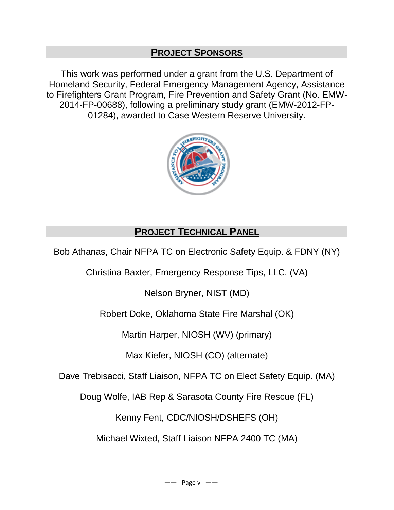# **PROJECT SPONSORS**

This work was performed under a grant from the U.S. Department of Homeland Security, Federal Emergency Management Agency, Assistance to Firefighters Grant Program, Fire Prevention and Safety Grant (No. EMW-2014-FP-00688), following a preliminary study grant (EMW-2012-FP-01284), awarded to Case Western Reserve University.



# **PROJECT TECHNICAL PANEL**

Bob Athanas, Chair NFPA TC on Electronic Safety Equip. & FDNY (NY)

Christina Baxter, Emergency Response Tips, LLC. (VA)

Nelson Bryner, NIST (MD)

Robert Doke, Oklahoma State Fire Marshal (OK)

Martin Harper, NIOSH (WV) (primary)

Max Kiefer, NIOSH (CO) (alternate)

Dave Trebisacci, Staff Liaison, NFPA TC on Elect Safety Equip. (MA)

Doug Wolfe, IAB Rep & Sarasota County Fire Rescue (FL)

Kenny Fent, CDC/NIOSH/DSHEFS (OH)

Michael Wixted, Staff Liaison NFPA 2400 TC (MA)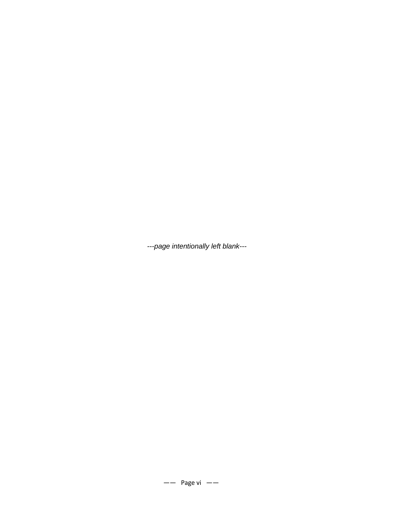---page intentionally left blank---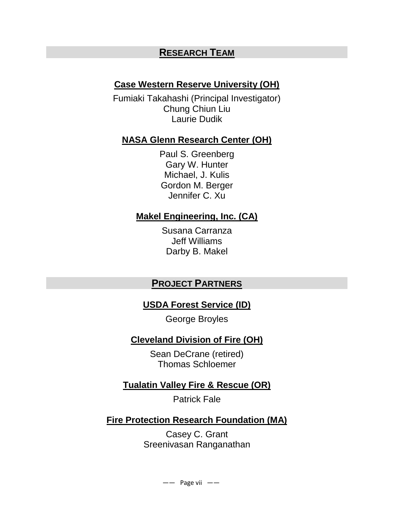# **RESEARCH TEAM**

# **Case Western Reserve University (OH)**

Fumiaki Takahashi (Principal Investigator) Chung Chiun Liu Laurie Dudik

## **NASA Glenn Research Center (OH)**

Paul S. Greenberg Gary W. Hunter Michael, J. Kulis Gordon M. Berger Jennifer C. Xu

## **Makel Engineering, Inc. (CA)**

Susana Carranza Jeff Williams Darby B. Makel

## **PROJECT PARTNERS**

#### **USDA Forest Service (ID)**

George Broyles

## **Cleveland Division of Fire (OH)**

Sean DeCrane (retired) Thomas Schloemer

## **Tualatin Valley Fire & Rescue (OR)**

Patrick Fale

#### **Fire Protection Research Foundation (MA)**

Casey C. Grant Sreenivasan Ranganathan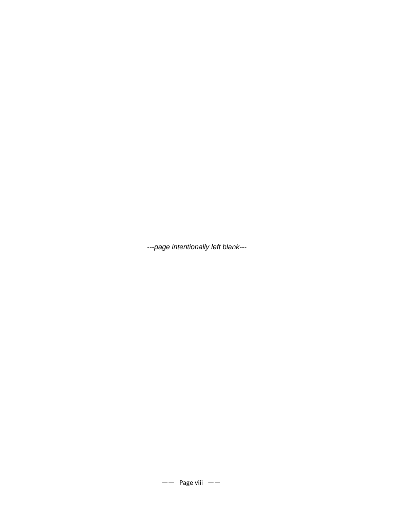---page intentionally left blank---